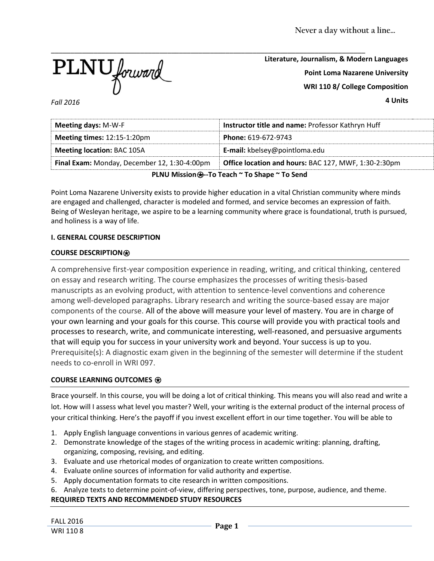

**Literature, Journalism, & Modern Languages Point Loma Nazarene University WRI 110 8/ College Composition**

**4 Units**

*Fall 2016*

| <b>Meeting days: M-W-F</b>                                                                                  | Instructor title and name: Professor Kathryn Huff |  |  |  |
|-------------------------------------------------------------------------------------------------------------|---------------------------------------------------|--|--|--|
| Meeting times: 12:15-1:20pm                                                                                 | Phone: 619-672-9743                               |  |  |  |
| <b>Meeting location: BAC 105A</b>                                                                           | <b>E-mail:</b> kbelsey@pointloma.edu              |  |  |  |
| <b>Office location and hours: BAC 127, MWF, 1:30-2:30pm</b><br>Final Exam: Monday, December 12, 1:30-4:00pm |                                                   |  |  |  |
| PLNU Mission <b>⊕--To Teach</b> ~ To Shape ~ To Send                                                        |                                                   |  |  |  |

Point Loma Nazarene University exists to provide higher education in a vital Christian community where minds are engaged and challenged, character is modeled and formed, and service becomes an expression of faith. Being of Wesleyan heritage, we aspire to be a learning community where grace is foundational, truth is pursued, and holiness is a way of life.

# **I. GENERAL COURSE DESCRIPTION**

### **COURSE DESCRIPTION**⍟

A comprehensive first-year composition experience in reading, writing, and critical thinking, centered on essay and research writing. The course emphasizes the processes of writing thesis-based manuscripts as an evolving product, with attention to sentence-level conventions and coherence among well-developed paragraphs. Library research and writing the source-based essay are major components of the course. All of the above will measure your level of mastery. You are in charge of your own learning and your goals for this course. This course will provide you with practical tools and processes to research, write, and communicate interesting, well-reasoned, and persuasive arguments that will equip you for success in your university work and beyond. Your success is up to you. Prerequisite(s): A diagnostic exam given in the beginning of the semester will determine if the student needs to co-enroll in WRI 097.

# **COURSE LEARNING OUTCOMES** ⍟

Brace yourself. In this course, you will be doing a lot of critical thinking. This means you will also read and write a lot. How will I assess what level you master? Well, your writing is the external product of the internal process of your critical thinking. Here's the payoff if you invest excellent effort in our time together. You will be able to

- 1. Apply English language conventions in various genres of academic writing.
- 2. Demonstrate knowledge of the stages of the writing process in academic writing: planning, drafting, organizing, composing, revising, and editing.
- 3. Evaluate and use rhetorical modes of organization to create written compositions.
- 4. Evaluate online sources of information for valid authority and expertise.
- 5. Apply documentation formats to cite research in written compositions.
- 6. Analyze texts to determine point-of-view, differing perspectives, tone, purpose, audience, and theme.

# **REQUIRED TEXTS AND RECOMMENDED STUDY RESOURCES**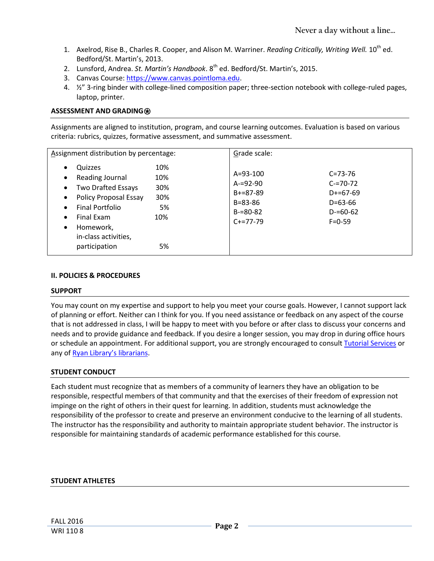- 1. Axelrod, Rise B., Charles R. Cooper, and Alison M. Warriner. *Reading Critically, Writing Well.* 10<sup>th</sup> ed. Bedford/St. Martin's, 2013.
- 2. Lunsford, Andrea. *St. Martin's Handbook*. 8th ed. Bedford/St. Martin's, 2015.
- 3. Canvas Course[: https://www.canvas.pointloma.edu.](https://www.canvas.pointloma.edu/)
- 4. ½" 3-ring binder with college-lined composition paper; three-section notebook with college-ruled pages, laptop, printer.

# **ASSESSMENT AND GRADING**⍟

Assignments are aligned to institution, program, and course learning outcomes. Evaluation is based on various criteria: rubrics, quizzes, formative assessment, and summative assessment.

| Assignment distribution by percentage:                                                                                                                                                                                                                                                                            | Grade scale:                                                                                                                                                                                    |  |
|-------------------------------------------------------------------------------------------------------------------------------------------------------------------------------------------------------------------------------------------------------------------------------------------------------------------|-------------------------------------------------------------------------------------------------------------------------------------------------------------------------------------------------|--|
| 10%<br>Quizzes<br>$\bullet$<br>Reading Journal<br>10%<br>$\bullet$<br>Two Drafted Essays<br>30%<br>$\bullet$<br>Policy Proposal Essay<br>30%<br>$\bullet$<br><b>Final Portfolio</b><br>5%<br>$\bullet$<br>Final Exam<br>10%<br>$\bullet$<br>Homework,<br>$\bullet$<br>in-class activities,<br>participation<br>5% | $A = 93 - 100$<br>$C = 73 - 76$<br>$A = 92 - 90$<br>$C = 70 - 72$<br>$B+=87-89$<br>$D+=67-69$<br>$B = 83 - 86$<br>$D = 63 - 66$<br>$D = 60 - 62$<br>$B = 80 - 82$<br>$C+=77-79$<br>$F = 0 - 59$ |  |

#### **II. POLICIES & PROCEDURES**

#### **SUPPORT**

You may count on my expertise and support to help you meet your course goals. However, I cannot support lack of planning or effort. Neither can I think for you. If you need assistance or feedback on any aspect of the course that is not addressed in class, I will be happy to meet with you before or after class to discuss your concerns and needs and to provide guidance and feedback. If you desire a longer session, you may drop in during office hours or schedule an appointment. For additional support, you are strongly encouraged to consul[t Tutorial Services](http://www.pointloma.edu/experience/offices/student-services/tutorial-services/services) or any of [Ryan Library's librarians](http://www.pointloma.edu/ryanlibrary).

# **STUDENT CONDUCT**

Each student must recognize that as members of a community of learners they have an obligation to be responsible, respectful members of that community and that the exercises of their freedom of expression not impinge on the right of others in their quest for learning. In addition, students must acknowledge the responsibility of the professor to create and preserve an environment conducive to the learning of all students. The instructor has the responsibility and authority to maintain appropriate student behavior. The instructor is responsible for maintaining standards of academic performance established for this course.

# **STUDENT ATHLETES**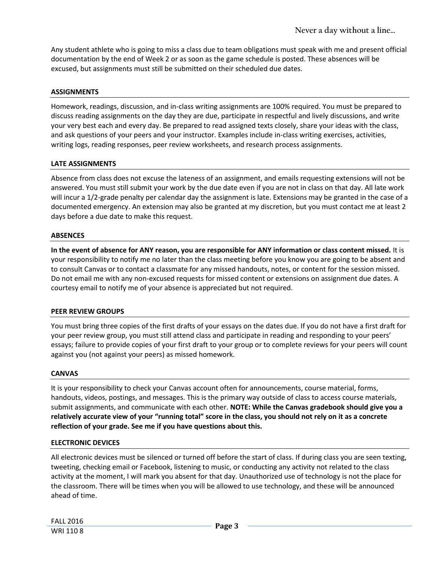Any student athlete who is going to miss a class due to team obligations must speak with me and present official documentation by the end of Week 2 or as soon as the game schedule is posted. These absences will be excused, but assignments must still be submitted on their scheduled due dates.

### **ASSIGNMENTS**

Homework, readings, discussion, and in-class writing assignments are 100% required. You must be prepared to discuss reading assignments on the day they are due, participate in respectful and lively discussions, and write your very best each and every day. Be prepared to read assigned texts closely, share your ideas with the class, and ask questions of your peers and your instructor. Examples include in-class writing exercises, activities, writing logs, reading responses, peer review worksheets, and research process assignments.

### **LATE ASSIGNMENTS**

Absence from class does not excuse the lateness of an assignment, and emails requesting extensions will not be answered. You must still submit your work by the due date even if you are not in class on that day. All late work will incur a 1/2-grade penalty per calendar day the assignment is late. Extensions may be granted in the case of a documented emergency. An extension may also be granted at my discretion, but you must contact me at least 2 days before a due date to make this request.

### **ABSENCES**

**In the event of absence for ANY reason, you are responsible for ANY information or class content missed.** It is your responsibility to notify me no later than the class meeting before you know you are going to be absent and to consult Canvas or to contact a classmate for any missed handouts, notes, or content for the session missed. Do not email me with any non-excused requests for missed content or extensions on assignment due dates. A courtesy email to notify me of your absence is appreciated but not required.

#### **PEER REVIEW GROUPS**

You must bring three copies of the first drafts of your essays on the dates due. If you do not have a first draft for your peer review group, you must still attend class and participate in reading and responding to your peers' essays; failure to provide copies of your first draft to your group or to complete reviews for your peers will count against you (not against your peers) as missed homework.

#### **CANVAS**

It is your responsibility to check your Canvas account often for announcements, course material, forms, handouts, videos, postings, and messages. This is the primary way outside of class to access course materials, submit assignments, and communicate with each other. **NOTE: While the Canvas gradebook should give you a relatively accurate view of your "running total" score in the class, you should not rely on it as a concrete reflection of your grade. See me if you have questions about this.** 

#### **ELECTRONIC DEVICES**

All electronic devices must be silenced or turned off before the start of class. If during class you are seen texting, tweeting, checking email or Facebook, listening to music, or conducting any activity not related to the class activity at the moment, I will mark you absent for that day. Unauthorized use of technology is not the place for the classroom. There will be times when you will be allowed to use technology, and these will be announced ahead of time.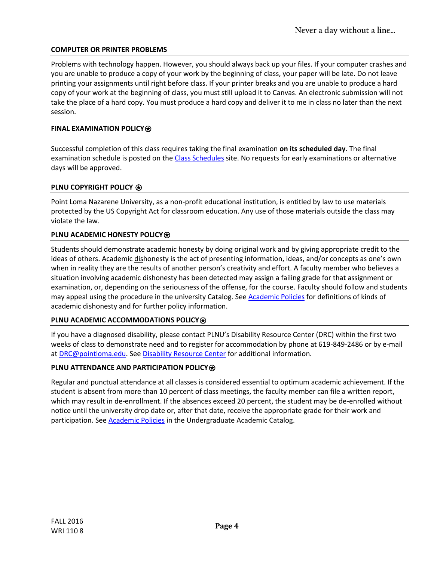# **COMPUTER OR PRINTER PROBLEMS**

Problems with technology happen. However, you should always back up your files. If your computer crashes and you are unable to produce a copy of your work by the beginning of class, your paper will be late. Do not leave printing your assignments until right before class. If your printer breaks and you are unable to produce a hard copy of your work at the beginning of class, you must still upload it to Canvas. An electronic submission will not take the place of a hard copy. You must produce a hard copy and deliver it to me in class no later than the next session.

#### **FINAL EXAMINATION POLICY**⍟

Successful completion of this class requires taking the final examination **on its scheduled day**. The final examination schedule is posted on th[e Class Schedules](http://www.pointloma.edu/experience/academics/class-schedules) site. No requests for early examinations or alternative days will be approved.

### **PLNU COPYRIGHT POLICY <b>**

Point Loma Nazarene University, as a non-profit educational institution, is entitled by law to use materials protected by the US Copyright Act for classroom education. Any use of those materials outside the class may violate the law.

# **PLNU ACADEMIC HONESTY POLICY<sup>®</sup>**

Students should demonstrate academic honesty by doing original work and by giving appropriate credit to the ideas of others. Academic dishonesty is the act of presenting information, ideas, and/or concepts as one's own when in reality they are the results of another person's creativity and effort. A faculty member who believes a situation involving academic dishonesty has been detected may assign a failing grade for that assignment or examination, or, depending on the seriousness of the offense, for the course. Faculty should follow and students may appeal using the procedure in the university Catalog. Se[e Academic Policies](http://catalog.pointloma.edu/content.php?catoid=18&navoid=1278) for definitions of kinds of academic dishonesty and for further policy information.

#### **PLNU ACADEMIC ACCOMMODATIONS POLICY<sup>**</sup>

If you have a diagnosed disability, please contact PLNU's Disability Resource Center (DRC) within the first two weeks of class to demonstrate need and to register for accommodation by phone at 619-849-2486 or by e-mail a[t DRC@pointloma.edu.](mailto:DRC@pointloma.edu) See [Disability Resource Center](http://www.pointloma.edu/experience/offices/administrative-offices/academic-advising-office/disability-resource-center) for additional information.

# **PLNU ATTENDANCE AND PARTICIPATION POLICY<sup></sup><b>**

Regular and punctual attendance at all classes is considered essential to optimum academic achievement. If the student is absent from more than 10 percent of class meetings, the faculty member can file a written report, which may result in de-enrollment. If the absences exceed 20 percent, the student may be de-enrolled without notice until the university drop date or, after that date, receive the appropriate grade for their work and participation. See **Academic Policies** in the Undergraduate Academic Catalog.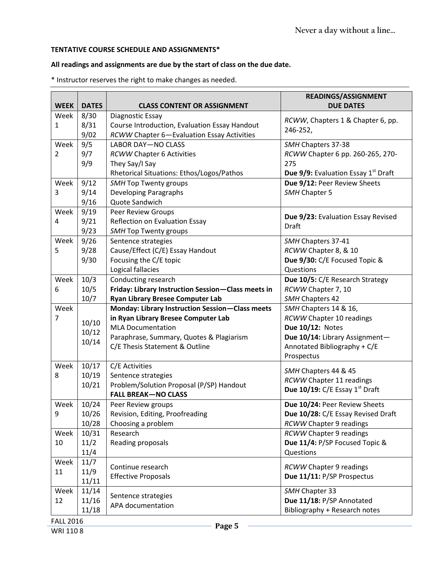# **TENTATIVE COURSE SCHEDULE AND ASSIGNMENTS\***

# **All readings and assignments are due by the start of class on the due date.**

\* Instructor reserves the right to make changes as needed.

| <b>WEEK</b>      | <b>DATES</b>   | <b>CLASS CONTENT OR ASSIGNMENT</b>                 | READINGS/ASSIGNMENT<br><b>DUE DATES</b>                |
|------------------|----------------|----------------------------------------------------|--------------------------------------------------------|
| Week             | 8/30           | Diagnostic Essay                                   |                                                        |
| 1                | 8/31           | Course Introduction, Evaluation Essay Handout      | RCWW, Chapters 1 & Chapter 6, pp.                      |
|                  | 9/02           | RCWW Chapter 6-Evaluation Essay Activities         | 246-252,                                               |
| Week             | 9/5            | <b>LABOR DAY-NO CLASS</b>                          | SMH Chapters 37-38                                     |
| 2                | 9/7            | <b>RCWW Chapter 6 Activities</b>                   | RCWW Chapter 6 pp. 260-265, 270-                       |
|                  | 9/9            | They Say/I Say                                     | 275                                                    |
|                  |                | Rhetorical Situations: Ethos/Logos/Pathos          | <b>Due 9/9:</b> Evaluation Essay 1 <sup>st</sup> Draft |
| Week             | 9/12           | <b>SMH Top Twenty groups</b>                       | Due 9/12: Peer Review Sheets                           |
| 3                | 9/14           | Developing Paragraphs                              | SMH Chapter 5                                          |
|                  | 9/16           | Quote Sandwich                                     |                                                        |
| Week             | 9/19           | <b>Peer Review Groups</b>                          |                                                        |
| 4                | 9/21           | Reflection on Evaluation Essay                     | Due 9/23: Evaluation Essay Revised                     |
|                  | 9/23           | <b>SMH Top Twenty groups</b>                       | Draft                                                  |
| Week             | 9/26           | Sentence strategies                                | SMH Chapters 37-41                                     |
| 5                | 9/28           | Cause/Effect (C/E) Essay Handout                   | RCWW Chapter 8, & 10                                   |
|                  | 9/30           | Focusing the C/E topic                             | Due 9/30: C/E Focused Topic &                          |
|                  |                | Logical fallacies                                  | Questions                                              |
| Week             | 10/3           | Conducting research                                | Due 10/5: C/E Research Strategy                        |
| 6                | 10/5           | Friday: Library Instruction Session-Class meets in | RCWW Chapter 7, 10                                     |
|                  | 10/7           | <b>Ryan Library Bresee Computer Lab</b>            | SMH Chapters 42                                        |
| Week             |                | Monday: Library Instruction Session-Class meets    | SMH Chapters 14 & 16,                                  |
| 7                | 10/10          | in Ryan Library Bresee Computer Lab                | <b>RCWW Chapter 10 readings</b>                        |
|                  | 10/12          | <b>MLA Documentation</b>                           | Due 10/12: Notes                                       |
|                  | 10/14          | Paraphrase, Summary, Quotes & Plagiarism           | Due 10/14: Library Assignment-                         |
|                  |                | C/E Thesis Statement & Outline                     | Annotated Bibliography + C/E                           |
|                  |                |                                                    | Prospectus                                             |
| Week             | 10/17          | C/E Activities                                     | SMH Chapters 44 & 45                                   |
| 8                | 10/19          | Sentence strategies                                | <b>RCWW Chapter 11 readings</b>                        |
|                  | 10/21          | Problem/Solution Proposal (P/SP) Handout           | Due 10/19: C/E Essay 1st Draft                         |
|                  |                | <b>FALL BREAK-NO CLASS</b>                         |                                                        |
| Week             | 10/24          | Peer Review groups                                 | Due 10/24: Peer Review Sheets                          |
| 9                | 10/26<br>10/28 | Revision, Editing, Proofreading                    | Due 10/28: C/E Essay Revised Draft                     |
|                  |                | Choosing a problem                                 | <b>RCWW Chapter 9 readings</b>                         |
| Week             | 10/31<br>11/2  | Research                                           | <b>RCWW Chapter 9 readings</b>                         |
| 10               |                | Reading proposals                                  | Due 11/4: P/SP Focused Topic &<br>Questions            |
| Week             | 11/4<br>11/7   |                                                    |                                                        |
| 11               |                | Continue research                                  | <b>RCWW Chapter 9 readings</b>                         |
|                  | 11/9<br>11/11  | <b>Effective Proposals</b>                         | Due 11/11: P/SP Prospectus                             |
| Week             | 11/14          |                                                    | SMH Chapter 33                                         |
| 12               | 11/16          | Sentence strategies                                | Due 11/18: P/SP Annotated                              |
|                  | 11/18          | APA documentation                                  | Bibliography + Research notes                          |
| <b>FALL 2016</b> |                |                                                    |                                                        |